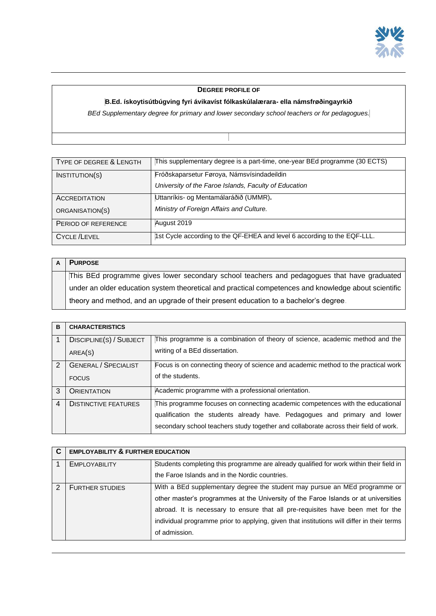

## **DEGREE PROFILE OF**

## **B.Ed. ískoytisútbúgving fyri ávikavíst fólkaskúlalærara- ella námsfrøðingayrkið**

*BEd Supplementary degree for primary and lower secondary school teachers or for pedagogues.*

| TYPE OF DEGREE & LENGTH | This supplementary degree is a part-time, one-year BEd programme (30 ECTS) |
|-------------------------|----------------------------------------------------------------------------|
| INSTITUTION(S)          | Fróðskaparsetur Føroya, Námsvísindadeildin                                 |
|                         | University of the Faroe Islands, Faculty of Education                      |
| <b>ACCREDITATION</b>    | Uttanríkis- og Mentamálaráðið (UMMR).                                      |
| ORGANISATION(S)         | Ministry of Foreign Affairs and Culture.                                   |
| PERIOD OF REFERENCE     | August 2019                                                                |
| <b>CYCLE /LEVEL</b>     | 1st Cycle according to the QF-EHEA and level 6 according to the EQF-LLL.   |

| <b>PURPOSE</b>                                                                                       |
|------------------------------------------------------------------------------------------------------|
| This BEd programme gives lower secondary school teachers and pedagogues that have graduated          |
| under an older education system theoretical and practical competences and knowledge about scientific |
| theory and method, and an upgrade of their present education to a bachelor's degree.                 |

| B | <b>CHARACTERISTICS</b>                      |                                                                                                                                                                                                                                                     |
|---|---------------------------------------------|-----------------------------------------------------------------------------------------------------------------------------------------------------------------------------------------------------------------------------------------------------|
|   | DISCIPLINE(S) / SUBJECT<br>AREA(S)          | This programme is a combination of theory of science, academic method and the<br>writing of a BEd dissertation.                                                                                                                                     |
| 2 | <b>GENERAL / SPECIALIST</b><br><b>FOCUS</b> | Focus is on connecting theory of science and academic method to the practical work<br>of the students.                                                                                                                                              |
| 3 | <b>ORIENTATION</b>                          | Academic programme with a professional orientation.                                                                                                                                                                                                 |
| 4 | <b>DISTINCTIVE FEATURES</b>                 | This programme focuses on connecting academic competences with the educational<br>qualification the students already have. Pedagogues and primary and lower<br>secondary school teachers study together and collaborate across their field of work. |

| C | <b>EMPLOYABILITY &amp; FURTHER EDUCATION</b> |                                                                                            |
|---|----------------------------------------------|--------------------------------------------------------------------------------------------|
|   | <b>EMPLOYABILITY</b>                         | Students completing this programme are already qualified for work within their field in    |
|   |                                              | the Faroe Islands and in the Nordic countries.                                             |
|   | <b>FURTHER STUDIES</b>                       | With a BEd supplementary degree the student may pursue an MEd programme or                 |
|   |                                              | other master's programmes at the University of the Faroe Islands or at universities        |
|   |                                              | abroad. It is necessary to ensure that all pre-requisites have been met for the            |
|   |                                              | individual programme prior to applying, given that institutions will differ in their terms |
|   |                                              | of admission.                                                                              |